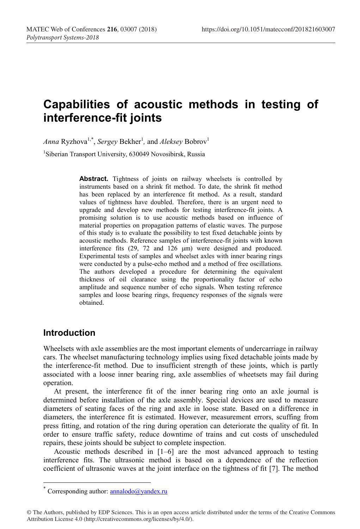# **Capabilities of acoustic methods in testing of interference-fit joints**

*Anna* Ryzhova<sup>1,\*</sup>, *Sergey* Bekher<sup>1</sup>, and *Aleksey* Bobrov<sup>1</sup> <sup>1</sup>Siberian Transport University, 630049 Novosibirsk, Russia

> Abstract. Tightness of joints on railway wheelsets is controlled by instruments based on a shrink fit method. To date, the shrink fit method has been replaced by an interference fit method. As a result, standard values of tightness have doubled. Therefore, there is an urgent need to upgrade and develop new methods for testing interference-fit joints. A promising solution is to use acoustic methods based on influence of material properties on propagation patterns of elastic waves. The purpose of this study is to evaluate the possibility to test fixed detachable joints by acoustic methods. Reference samples of interference-fit joints with known interference fits (29, 72 and 126 μm) were designed and produced. Experimental tests of samples and wheelset axles with inner bearing rings were conducted by a pulse-echo method and a method of free oscillations. The authors developed a procedure for determining the equivalent thickness of oil clearance using the proportionality factor of echo amplitude and sequence number of echo signals. When testing reference samples and loose bearing rings, frequency responses of the signals were obtained.

## **Introduction**

Wheelsets with axle assemblies are the most important elements of undercarriage in railway cars. The wheelset manufacturing technology implies using fixed detachable joints made by the interference-fit method. Due to insufficient strength of these joints, which is partly associated with a loose inner bearing ring, axle assemblies of wheetsets may fail during operation.

At present, the interference fit of the inner bearing ring onto an axle journal is determined before installation of the axle assembly. Special devices are used to measure diameters of seating faces of the ring and axle in loose state. Based on a difference in diameters, the interference fit is estimated. However, measurement errors, scuffing from press fitting, and rotation of the ring during operation can deteriorate the quality of fit. In order to ensure traffic safety, reduce downtime of trains and cut costs of unscheduled repairs, these joints should be subject to complete inspection.

Acoustic methods described in [1–6] are the most advanced approach to testing interference fits. The ultrasonic method is based on a dependence of the reflection coefficient of ultrasonic waves at the joint interface on the tightness of fit [7]. The method

Corresponding author:  $\frac{\text{annualodo}(a)}{\text{standard}}$ 

<sup>©</sup> The Authors, published by EDP Sciences. This is an open access article distributed under the terms of the Creative Commons Attribution License 4.0 (http://creativecommons.org/licenses/by/4.0/).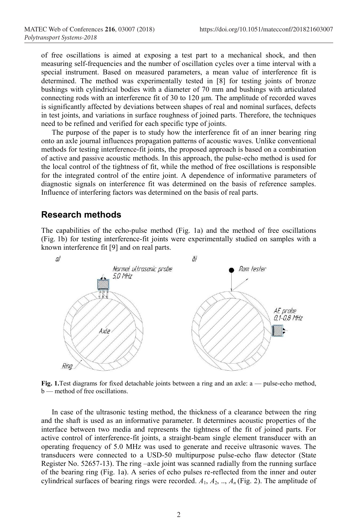of free oscillations is aimed at exposing a test part to a mechanical shock, and then measuring self-frequencies and the number of oscillation cycles over a time interval with a special instrument. Based on measured parameters, a mean value of interference fit is determined. The method was experimentally tested in [8] for testing joints of bronze bushings with cylindrical bodies with a diameter of 70 mm and bushings with articulated connecting rods with an interference fit of 30 to 120 μm. The amplitude of recorded waves is significantly affected by deviations between shapes of real and nominal surfaces, defects in test joints, and variations in surface roughness of joined parts. Therefore, the techniques need to be refined and verified for each specific type of joints.

The purpose of the paper is to study how the interference fit of an inner bearing ring onto an axle journal influences propagation patterns of acoustic waves. Unlike conventional methods for testing interference-fit joints, the proposed approach is based on a combination of active and passive acoustic methods. In this approach, the pulse-echo method is used for the local control of the tightness of fit, while the method of free oscillations is responsible for the integrated control of the entire joint. A dependence of informative parameters of diagnostic signals on interference fit was determined on the basis of reference samples. Influence of interfering factors was determined on the basis of real parts.

#### **Research methods**

The capabilities of the echo-pulse method (Fig. 1a) and the method of free oscillations (Fig. 1b) for testing interference-fit joints were experimentally studied on samples with a known interference fit [9] and on real parts.



**Fig. 1.**Test diagrams for fixed detachable joints between a ring and an axle: a — pulse-echo method, b — method of free oscillations.

In case of the ultrasonic testing method, the thickness of a clearance between the ring and the shaft is used as an informative parameter. It determines acoustic properties of the interface between two media and represents the tightness of the fit of joined parts. For active control of interference-fit joints, a straight-beam single element transducer with an operating frequency of 5.0 MHz was used to generate and receive ultrasonic waves. The transducers were connected to a USD-50 multipurpose pulse-echo flaw detector (State Register No. 52657-13). The ring –axle joint was scanned radially from the running surface of the bearing ring (Fig. 1a). A series of echo pulses re-reflected from the inner and outer cylindrical surfaces of bearing rings were recorded.  $A_1, A_2, ..., A_n$  (Fig. 2). The amplitude of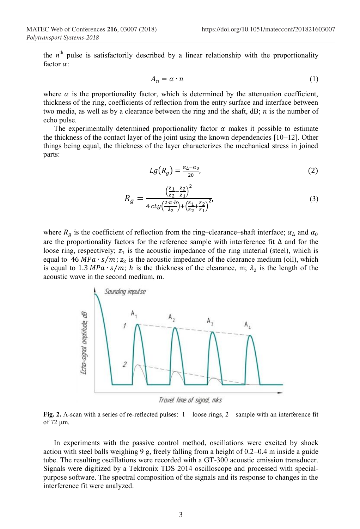the  $n<sup>th</sup>$  pulse is satisfactorily described by a linear relationship with the proportionality factor  $\alpha$ :

$$
A_n = \alpha \cdot n \tag{1}
$$

where  $\alpha$  is the proportionality factor, which is determined by the attenuation coefficient, thickness of the ring, coefficients of reflection from the entry surface and interface between two media, as well as by a clearance between the ring and the shaft,  $dB$ ;  $n$  is the number of echo pulse.

The experimentally determined proportionality factor  $\alpha$  makes it possible to estimate the thickness of the contact layer of the joint using the known dependencies [10–12]. Other things being equal, the thickness of the layer characterizes the mechanical stress in joined parts:

$$
Lg\big(R_g\big) = \frac{\alpha_{\Delta} - \alpha_0}{20},\tag{2}
$$

$$
R_g = \frac{\left(\frac{z_1}{z_2} - \frac{z_2}{z_1}\right)^2}{4 \, ctg \left(\frac{2 \cdot \pi \cdot h}{\lambda_2}\right) + \left(\frac{z_1}{z_2} + \frac{z_2}{z_1}\right)^2},\tag{3}
$$

where  $R_a$  is the coefficient of reflection from the ring–clearance–shaft interface;  $\alpha_{\Delta}$  and  $\alpha_0$ are the proportionality factors for the reference sample with interference fit ∆ and for the loose ring, respectively;  $z_1$  is the acoustic impedance of the ring material (steel), which is equal to 46  $MPa \cdot s/m$ ;  $z_2$  is the acoustic impedance of the clearance medium (oil), which is equal to 1.3 MPa  $\cdot$  s/m; h is the thickness of the clearance, m;  $\lambda_2$  is the length of the acoustic wave in the second medium, m.



Travel time of signal, mks

**Fig. 2.** A-scan with a series of re-reflected pulses: 1 – loose rings, 2 – sample with an interference fit of 72 μm.

In experiments with the passive control method, oscillations were excited by shock action with steel balls weighing 9 g, freely falling from a height of 0.2–0.4 m inside a guide tube. The resulting oscillations were recorded with a GT-300 acoustic emission transducer. Signals were digitized by a Tektronix TDS 2014 oscilloscope and processed with specialpurpose software. The spectral composition of the signals and its response to changes in the interference fit were analyzed.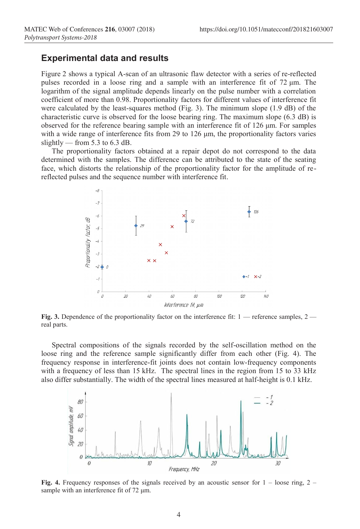#### **Experimental data and results**

Figure 2 shows a typical A-scan of an ultrasonic flaw detector with a series of re-reflected pulses recorded in a loose ring and a sample with an interference fit of 72 μm. The logarithm of the signal amplitude depends linearly on the pulse number with a correlation coefficient of more than 0.98. Proportionality factors for different values of interference fit were calculated by the least-squares method (Fig. 3). The minimum slope (1.9 dB) of the characteristic curve is observed for the loose bearing ring. The maximum slope (6.3 dB) is observed for the reference bearing sample with an interference fit of 126 μm. For samples with a wide range of interference fits from 29 to 126 μm, the proportionality factors varies slightly — from 5.3 to 6.3 dB.

The proportionality factors obtained at a repair depot do not correspond to the data determined with the samples. The difference can be attributed to the state of the seating face, which distorts the relationship of the proportionality factor for the amplitude of rereflected pulses and the sequence number with interference fit.



**Fig.** 3. Dependence of the proportionality factor on the interference fit: 1 — reference samples, 2 real parts.

Spectral compositions of the signals recorded by the self-oscillation method on the loose ring and the reference sample significantly differ from each other (Fig. 4). The frequency response in interference-fit joints does not contain low-frequency components with a frequency of less than 15 kHz. The spectral lines in the region from 15 to 33 kHz also differ substantially. The width of the spectral lines measured at half-height is 0.1 kHz.



**Fig.** 4. Frequency responses of the signals received by an acoustic sensor for  $1 -$ loose ring,  $2$ sample with an interference fit of 72 μm.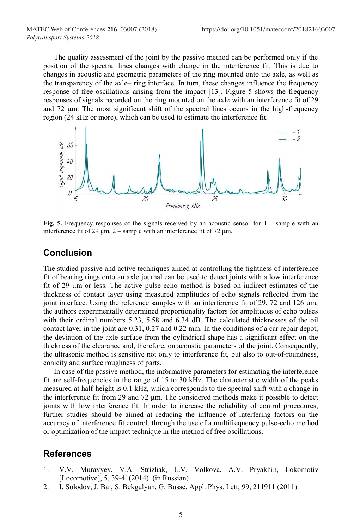The quality assessment of the joint by the passive method can be performed only if the position of the spectral lines changes with change in the interference fit. This is due to changes in acoustic and geometric parameters of the ring mounted onto the axle, as well as the transparency of the axle– ring interface. In turn, these changes influence the frequency response of free oscillations arising from the impact [13]. Figure 5 shows the frequency responses of signals recorded on the ring mounted on the axle with an interference fit of 29 and 72 μm. The most significant shift of the spectral lines occurs in the high-frequency region (24 kHz or more), which can be used to estimate the interference fit.



**Fig. 5.** Frequency responses of the signals received by an acoustic sensor for 1 – sample with an interference fit of 29  $\mu$ m, 2 – sample with an interference fit of 72  $\mu$ m.

## **Conclusion**

The studied passive and active techniques aimed at controlling the tightness of interference fit of bearing rings onto an axle journal can be used to detect joints with a low interference fit of 29 μm or less. The active pulse-echo method is based on indirect estimates of the thickness of contact layer using measured amplitudes of echo signals reflected from the joint interface. Using the reference samples with an interference fit of 29, 72 and 126 μm, the authors experimentally determined proportionality factors for amplitudes of echo pulses with their ordinal numbers 5.23, 5.58 and 6.34 dB. The calculated thicknesses of the oil contact layer in the joint are 0.31, 0.27 and 0.22 mm. In the conditions of a car repair depot, the deviation of the axle surface from the cylindrical shape has a significant effect on the thickness of the clearance and, therefore, on acoustic parameters of the joint. Consequently, the ultrasonic method is sensitive not only to interference fit, but also to out-of-roundness, conicity and surface roughness of parts.

In case of the passive method, the informative parameters for estimating the interference fit are self-frequencies in the range of 15 to 30 kHz. The characteristic width of the peaks measured at half-height is 0.1 kHz, which corresponds to the spectral shift with a change in the interference fit from 29 and 72 μm. The considered methods make it possible to detect joints with low interference fit. In order to increase the reliability of control procedures, further studies should be aimed at reducing the influence of interfering factors on the accuracy of interference fit control, through the use of a multifrequency pulse-echo method or optimization of the impact technique in the method of free oscillations.

## **References**

- 1. V.V. Muravyev, V.A. Strizhak, L.V. Volkova, A.V. Pryakhin, Lokomotiv [Locomotive], 5, 39-41(2014). (in Russian)
- 2. I. Solodov, J. Bai, S. Bekgulyan, G. Busse, Appl. Phys. Lett, 99, 211911 (2011).